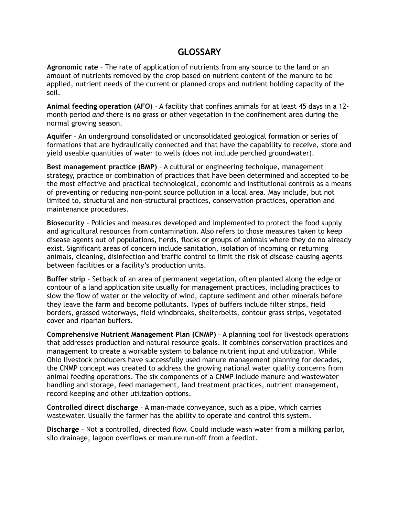## **GLOSSARY**

**Agronomic rate** – The rate of application of nutrients from any source to the land or an amount of nutrients removed by the crop based on nutrient content of the manure to be applied, nutrient needs of the current or planned crops and nutrient holding capacity of the soil.

**Animal feeding operation (AFO)** – A facility that confines animals for at least 45 days in a 12 month period *and* there is no grass or other vegetation in the confinement area during the normal growing season.

**Aquifer** – An underground consolidated or unconsolidated geological formation or series of formations that are hydraulically connected and that have the capability to receive, store and yield useable quantities of water to wells (does not include perched groundwater).

**Best management practice (BMP)** – A cultural or engineering technique, management strategy, practice or combination of practices that have been determined and accepted to be the most effective and practical technological, economic and institutional controls as a means of preventing or reducing non-point source pollution in a local area. May include, but not limited to, structural and non-structural practices, conservation practices, operation and maintenance procedures.

**Biosecurity** – Policies and measures developed and implemented to protect the food supply and agricultural resources from contamination. Also refers to those measures taken to keep disease agents out of populations, herds, flocks or groups of animals where they do no already exist. Significant areas of concern include sanitation, isolation of incoming or returning animals, cleaning, disinfection and traffic control to limit the risk of disease-causing agents between facilities or a facility's production units.

**Buffer strip** – Setback of an area of permanent vegetation, often planted along the edge or contour of a land application site usually for management practices, including practices to slow the flow of water or the velocity of wind, capture sediment and other minerals before they leave the farm and become pollutants. Types of buffers include filter strips, field borders, grassed waterways, field windbreaks, shelterbelts, contour grass strips, vegetated cover and riparian buffers.

**Comprehensive Nutrient Management Plan (CNMP)** – A planning tool for livestock operations that addresses production and natural resource goals. It combines conservation practices and management to create a workable system to balance nutrient input and utilization. While Ohio livestock producers have successfully used manure management planning for decades, the CNMP concept was created to address the growing national water quality concerns from animal feeding operations. The six components of a CNMP include manure and wastewater handling and storage, feed management, land treatment practices, nutrient management, record keeping and other utilization options.

**Controlled direct discharge** – A man-made conveyance, such as a pipe, which carries wastewater. Usually the farmer has the ability to operate and control this system.

**Discharge** – Not a controlled, directed flow. Could include wash water from a milking parlor, silo drainage, lagoon overflows or manure run-off from a feedlot.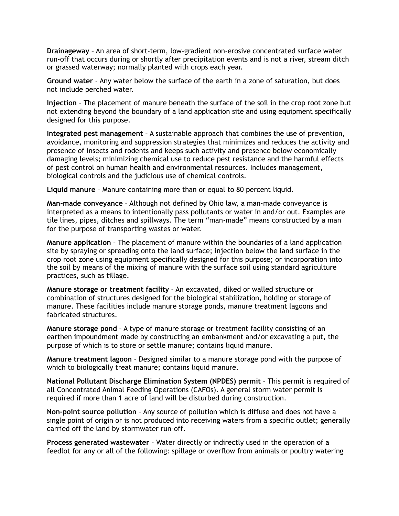**Drainageway** – An area of short-term, low-gradient non-erosive concentrated surface water run-off that occurs during or shortly after precipitation events and is not a river, stream ditch or grassed waterway; normally planted with crops each year.

**Ground water** – Any water below the surface of the earth in a zone of saturation, but does not include perched water.

**Injection** – The placement of manure beneath the surface of the soil in the crop root zone but not extending beyond the boundary of a land application site and using equipment specifically designed for this purpose.

**Integrated pest management** – A sustainable approach that combines the use of prevention, avoidance, monitoring and suppression strategies that minimizes and reduces the activity and presence of insects and rodents and keeps such activity and presence below economically damaging levels; minimizing chemical use to reduce pest resistance and the harmful effects of pest control on human health and environmental resources. Includes management, biological controls and the judicious use of chemical controls.

**Liquid manure** – Manure containing more than or equal to 80 percent liquid.

**Man-made conveyance** – Although not defined by Ohio law, a man-made conveyance is interpreted as a means to intentionally pass pollutants or water in and/or out. Examples are tile lines, pipes, ditches and spillways. The term "man-made" means constructed by a man for the purpose of transporting wastes or water.

**Manure application** – The placement of manure within the boundaries of a land application site by spraying or spreading onto the land surface; injection below the land surface in the crop root zone using equipment specifically designed for this purpose; or incorporation into the soil by means of the mixing of manure with the surface soil using standard agriculture practices, such as tillage.

**Manure storage or treatment facility** – An excavated, diked or walled structure or combination of structures designed for the biological stabilization, holding or storage of manure. These facilities include manure storage ponds, manure treatment lagoons and fabricated structures.

**Manure storage pond** – A type of manure storage or treatment facility consisting of an earthen impoundment made by constructing an embankment and/or excavating a put, the purpose of which is to store or settle manure; contains liquid manure.

**Manure treatment lagoon** – Designed similar to a manure storage pond with the purpose of which to biologically treat manure; contains liquid manure.

**National Pollutant Discharge Elimination System (NPDES) permit** – This permit is required of all Concentrated Animal Feeding Operations (CAFOs). A general storm water permit is required if more than 1 acre of land will be disturbed during construction.

**Non-point source pollution** – Any source of pollution which is diffuse and does not have a single point of origin or is not produced into receiving waters from a specific outlet; generally carried off the land by stormwater run-off.

**Process generated wastewater** – Water directly or indirectly used in the operation of a feedlot for any or all of the following: spillage or overflow from animals or poultry watering